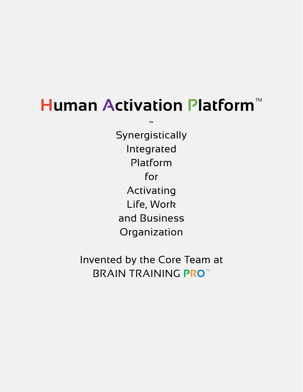# **Human Activation Platform**™

~

**Synergistically** Integrated Platform for Activating Life, Work and Business Organization

Invented by the Core Team at BRAIN TRAINING **PRO**™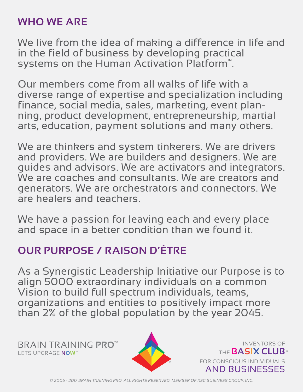## **WHO WE ARE**

We live from the idea of making a difference in life and in the field of business by developing practical systems on the Human Activation Platform™.

Our members come from all walks of life with a diverse range of expertise and specialization including<br>finance, social media, sales, marketing, event planning, product development, entrepreneurship, martial arts, education, payment solutions and many others.

We are thinkers and system tinkerers. We are drivers and providers. We are builders and designers. We are guides and advisors. We are activators and integrators. We are coaches and consultants. We are creators and generators. We are orchestrators and connectors. We are healers and teachers.

We have a passion for leaving each and every place and space in a better condition than we found it.

## **OUR PURPOSE / RAISON D'ÊTRE**

As a Synergistic Leadership Initiative our Purpose is to align 5000 extraordinary individuals on a common Vision to build full spectrum individuals, teams, organizations and entities to positively impact more than 2% of the global population by the year 2045.

**DETS UPGRAGE NOW™**<br>LETS UPGRAGE NOW™ BRAIN TRAINING **PRO™**



INVENTORS OF FOR CONSCIOUS INDIVIDUALS AND BUSINESSES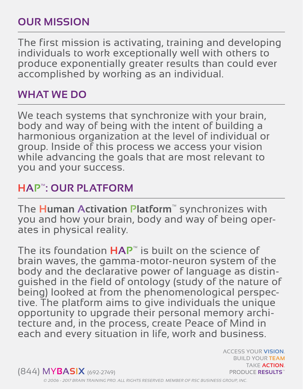# **OUR MISSION**

The first mission is activating, training and developing individuals to work exceptionally well with others to produce exponentially greater results than could ever accomplished by working as an individual.

#### **WHAT WE DO**

We teach systems that synchronize with your brain, body and way of being with the intent of building a harmonious organization at the level of individual or group. Inside of this process we access your vision while advancing the goals that are most relevant to you and your success.

#### **HAP™: OUR PLATFORM**

The **Human Activation Platform**™ synchronizes with you and how your brain, body and way of being operates in physical reality.

The its foundation **HAP**™ is built on the science of brain waves, the gamma-motor-neuron system of the body and the declarative power of language as distinguished in the field of ontology (study of the nature of being) looked at from the phenomenological perspective. The platform aims to give individuals the unique opportunity to upgrade their personal memory architecture and, in the process, create Peace of Mind in each and every situation in life, work and business.

PRODUCE **RESULTS**™ (844) MY**BASIX** (692-2749)

ACCESS YOUR **VISION**. BUILD YOUR **TEAM** TAKE **ACTION**.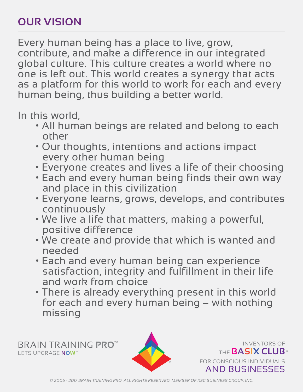# **OUR VISION**

Every human being has a place to live, grow, contribute, and make a difference in our integrated global culture. This culture creates a world where no one is left out. This world creates a synergy that acts as a platform for this world to work for each and every human being, thus building a better world.

In this world,

- All human beings are related and belong to each other
- Our thoughts, intentions and actions impact every other human being
- Everyone creates and lives a life of their choosing
- Each and every human being finds their own way and place in this civilization
- Everyone learns, grows, develops, and contributes continuously
- We live a life that matters, making a powerful, positive difference
- We create and provide that which is wanted and needed
- Each and every human being can experience satisfaction, integrity and fulfillment in their life and work from choice
- There is already everything present in this world for each and every human being – with nothing missing

**DETS UPGRAGE NOW™**<br>LETS UPGRAGE NOW™ BRAIN TRAINING **PRO™**



FOR CONSCIOUS INDIVIDUALS AND BUSINESSES

INVENTORS OF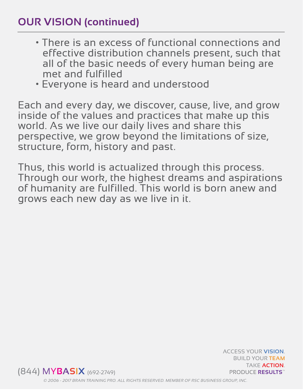# **OUR VISION (continued)**

- There is an excess of functional connections and effective distribution channels present, such that all of the basic needs of every human being are met and fulfilled
- Everyone is heard and understood

Each and every day, we discover, cause, live, and grow inside of the values and practices that make up this world. As we live our daily lives and share this perspective, we grow beyond the limitations of size, structure, form, history and past.

Thus, this world is actualized through this process. Through our work, the highest dreams and aspirations of humanity are fulfilled. This world is born anew and grows each new day as we live in it.



ACCESS YOUR **VISION**. BUILD YOUR **TEAM** TAKE **ACTION**.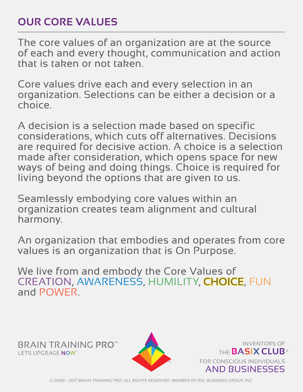## **OUR CORE VALUES**

The core values of an organization are at the source of each and every thought, communication and action that is taken or not taken.

Core values drive each and every selection in an organization. Selections can be either a decision or a choice.

A decision is a selection made based on specific considerations, which cuts off alternatives. Decisions are required for decisive action. A choice is a selection made after consideration, which opens space for new ways of being and doing things. Choice is required for living beyond the options that are given to us.

Seamlessly embodying core values within an organization creates team alignment and cultural harmony.

An organization that embodies and operates from core values is an organization that is On Purpose.

We live from and embody the Core Values of CREATION, AWARENESS, HUMILITY, CHOICE, FUN and POWER.

**DETS UPGRAGE NOW™**<br>LETS UPGRAGE NOW™ BRAIN TRAINING **PRO™**



FOR CONSCIOUS INDIVIDUALS AND BUSINESSES

INVENTORS OF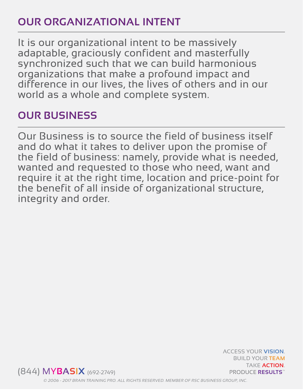#### **OUR ORGANIZATIONAL INTENT**

It is our organizational intent to be massively adaptable, graciously confident and masterfully synchronized such that we can build harmonious organizations that make a profound impact and difference in our lives, the lives of others and in our world as a whole and complete system.

#### **OUR BUSINESS**

Our Business is to source the field of business itself and do what it takes to deliver upon the promise of the field of business: namely, provide what is needed, wanted and requested to those who need, want and require it at the right time, location and price-point for the benefit of all inside of organizational structure, integrity and order.



ACCESS YOUR **VISION**. BUILD YOUR **TEAM** TAKE **ACTION**.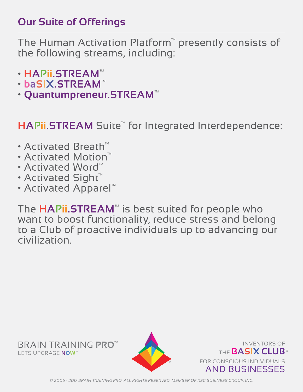#### **Our Suite of Offerings**

The Human Activation Platform™ presently consists of the following streams, including:

- **HAPii.STREAM**™
- **baSIX.STREAM**™
- **Quantumpreneur.STREAM**™

# HAPii.STREAM Suite<sup>™</sup> for Integrated Interdependence:

- Activated Breath™
- Activated Motion™
- Activated Word™
- Activated Sight™
- Activated Apparel™

The **HAPii.STREAM**™ is best suited for people who want to boost functionality, reduce stress and belong to a Club of proactive individuals up to advancing our civilization.



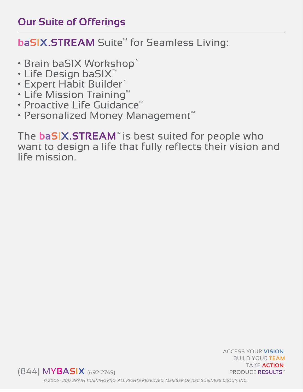#### **Our Suite of Offerings**

#### **baSIX.STREAM** Suite<sup>™</sup> for Seamless Living:

- Brain baSIX Workshop™
- Life Design baSIX™
- Expert Habit Builder™
- Life Mission Training™
- Proactive Life Guidance™
- Personalized Money Management™

The **baSIX.STREAM**™ is best suited for people who want to design a life that fully reflects their vision and life mission.



ACCESS YOUR **VISION**. BUILD YOUR **TEAM** TAKE **ACTION**.